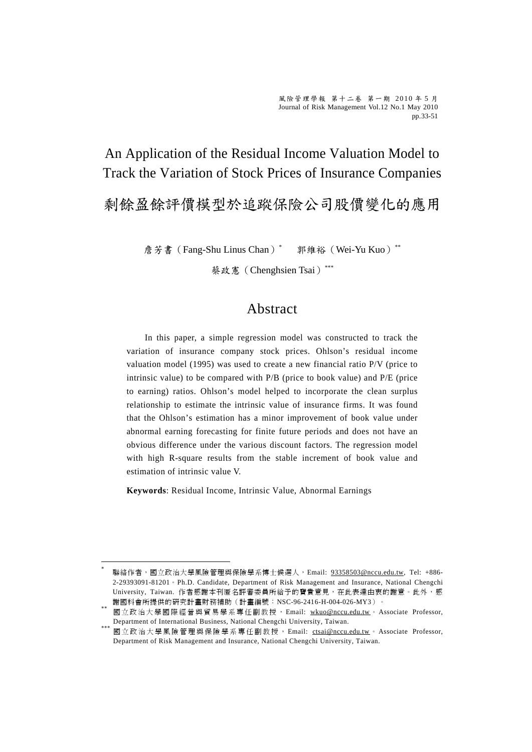An Application of the Residual Income Valuation Model to Track the Variation of Stock Prices of Insurance Companies

剩餘盈餘評價模型於追蹤保險公司股價變化的應用

詹芳書 (Fang-Shu Linus Chan)<sup>\*</sup> 郭維裕(Wei-Yu Kuo)\*\*

蔡政憲(Chenghsien Tsai)\*\*\*

### Abstract

In this paper, a simple regression model was constructed to track the variation of insurance company stock prices. Ohlson's residual income valuation model (1995) was used to create a new financial ratio P/V (price to intrinsic value) to be compared with P/B (price to book value) and P/E (price to earning) ratios. Ohlson's model helped to incorporate the clean surplus relationship to estimate the intrinsic value of insurance firms. It was found that the Ohlson's estimation has a minor improvement of book value under abnormal earning forecasting for finite future periods and does not have an obvious difference under the various discount factors. The regression model with high R-square results from the stable increment of book value and estimation of intrinsic value V.

**Keywords**: Residual Income, Intrinsic Value, Abnormal Earnings

 $\overline{a}$ 

聯絡作者,國立政治大學風險管理與保險學系博士候選人, Email: 93358503@nccu.edu.tw, Tel: +886-2-29393091-81201。Ph.D. Candidate, Department of Risk Management and Insurance, National Chengchi University, Taiwan. 作者感謝本刊匿名評審委員所給予的寶貴意見,在此表達由衷的謝意。此外,感 謝國科會所提供的研究計畫財務補助(計畫編號:NSC-96-2416-H-004-026-MY3)。

國立政治大學國際經營與貿易學系專任副教授, Email: wkuo@nccu.edu.tw。 Associate Professor, Department of International Business, National Chengchi University, Taiwan.

國立政治大學風險管理與保險學系專任副教授, Email: ctsai@nccu.edu.tw。 Associate Professor, Department of Risk Management and Insurance, National Chengchi University, Taiwan.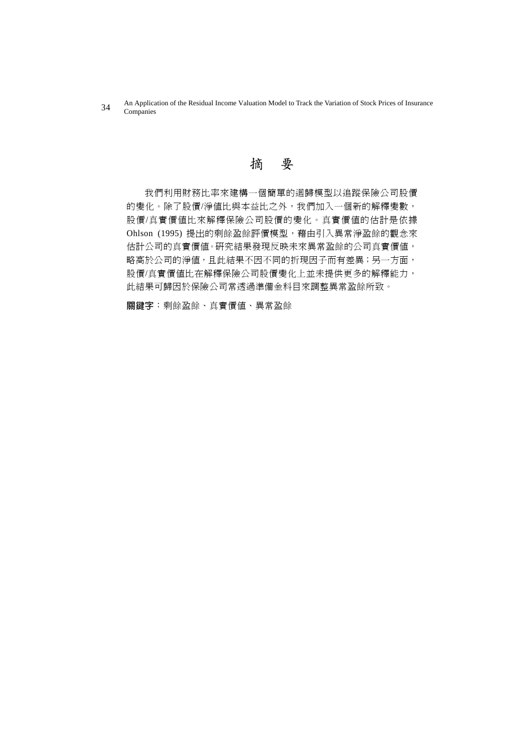An Application of the Residual Income Valuation Model to Track the Variation of Stock Prices of Insurance 34 An Applica

## 摘 要

我們利用財務比率來建構一個簡單的迴歸模型以追蹤保險公司股價 的變化。除了股價/淨值比與本益比之外,我們加入一個新的解釋變數, 股價/真實價值比來解釋保險公司股價的變化。真實價值的估計是依據 Ohlson (1995) 提出的剩餘盈餘評價模型,藉由引入異常淨盈餘的觀念來 估計公司的真實價值。研究結果發現反映未來異常盈餘的公司真實價值, 略高於公司的淨值,且此結果不因不同的折現因子而有差異;另一方面, 股價/真實價值比在解釋保險公司股價變化上並未提供更多的解釋能力, 此結果可歸因於保險公司常透過準備金科目來調整異常盈餘所致。

**ᙯᔣф**:剩餘盈餘、真實價值、異常盈餘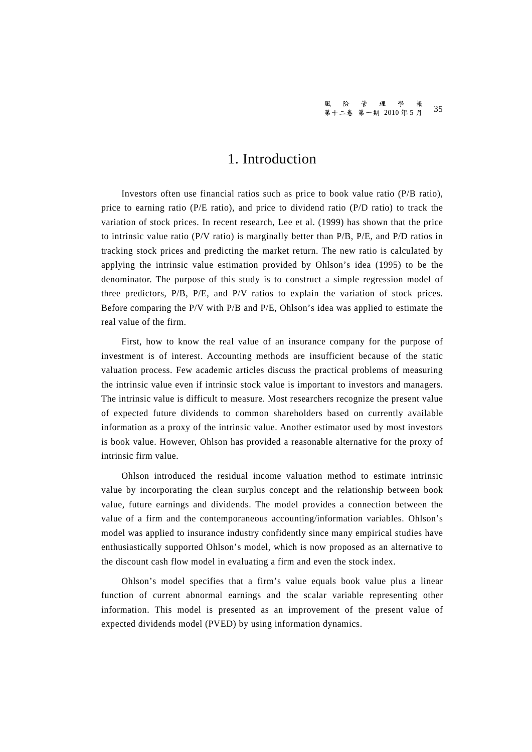### 1. Introduction

Investors often use financial ratios such as price to book value ratio (P/B ratio), price to earning ratio (P/E ratio), and price to dividend ratio (P/D ratio) to track the variation of stock prices. In recent research, Lee et al. (1999) has shown that the price to intrinsic value ratio (P/V ratio) is marginally better than P/B, P/E, and P/D ratios in tracking stock prices and predicting the market return. The new ratio is calculated by applying the intrinsic value estimation provided by Ohlson's idea (1995) to be the denominator. The purpose of this study is to construct a simple regression model of three predictors, P/B, P/E, and P/V ratios to explain the variation of stock prices. Before comparing the P/V with P/B and P/E, Ohlson's idea was applied to estimate the real value of the firm.

First, how to know the real value of an insurance company for the purpose of investment is of interest. Accounting methods are insufficient because of the static valuation process. Few academic articles discuss the practical problems of measuring the intrinsic value even if intrinsic stock value is important to investors and managers. The intrinsic value is difficult to measure. Most researchers recognize the present value of expected future dividends to common shareholders based on currently available information as a proxy of the intrinsic value. Another estimator used by most investors is book value. However, Ohlson has provided a reasonable alternative for the proxy of intrinsic firm value.

Ohlson introduced the residual income valuation method to estimate intrinsic value by incorporating the clean surplus concept and the relationship between book value, future earnings and dividends. The model provides a connection between the value of a firm and the contemporaneous accounting/information variables. Ohlson's model was applied to insurance industry confidently since many empirical studies have enthusiastically supported Ohlson's model, which is now proposed as an alternative to the discount cash flow model in evaluating a firm and even the stock index.

Ohlson's model specifies that a firm's value equals book value plus a linear function of current abnormal earnings and the scalar variable representing other information. This model is presented as an improvement of the present value of expected dividends model (PVED) by using information dynamics.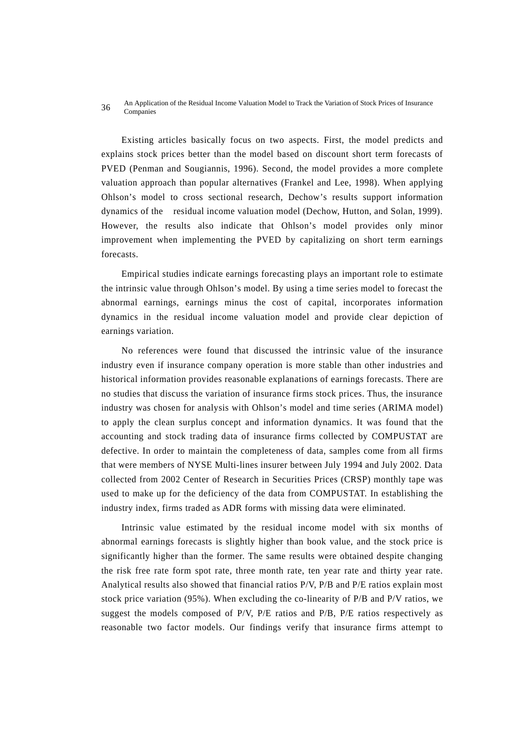#### An Application of the Residual Income Valuation Model to Track the Variation of Stock Prices of Insurance 36 All Applica

Existing articles basically focus on two aspects. First, the model predicts and explains stock prices better than the model based on discount short term forecasts of PVED (Penman and Sougiannis, 1996). Second, the model provides a more complete valuation approach than popular alternatives (Frankel and Lee, 1998). When applying Ohlson's model to cross sectional research, Dechow's results support information dynamics of the residual income valuation model (Dechow, Hutton, and Solan, 1999). However, the results also indicate that Ohlson's model provides only minor improvement when implementing the PVED by capitalizing on short term earnings forecasts.

Empirical studies indicate earnings forecasting plays an important role to estimate the intrinsic value through Ohlson's model. By using a time series model to forecast the abnormal earnings, earnings minus the cost of capital, incorporates information dynamics in the residual income valuation model and provide clear depiction of earnings variation.

No references were found that discussed the intrinsic value of the insurance industry even if insurance company operation is more stable than other industries and historical information provides reasonable explanations of earnings forecasts. There are no studies that discuss the variation of insurance firms stock prices. Thus, the insurance industry was chosen for analysis with Ohlson's model and time series (ARIMA model) to apply the clean surplus concept and information dynamics. It was found that the accounting and stock trading data of insurance firms collected by COMPUSTAT are defective. In order to maintain the completeness of data, samples come from all firms that were members of NYSE Multi-lines insurer between July 1994 and July 2002. Data collected from 2002 Center of Research in Securities Prices (CRSP) monthly tape was used to make up for the deficiency of the data from COMPUSTAT. In establishing the industry index, firms traded as ADR forms with missing data were eliminated.

Intrinsic value estimated by the residual income model with six months of abnormal earnings forecasts is slightly higher than book value, and the stock price is significantly higher than the former. The same results were obtained despite changing the risk free rate form spot rate, three month rate, ten year rate and thirty year rate. Analytical results also showed that financial ratios P/V, P/B and P/E ratios explain most stock price variation (95%). When excluding the co-linearity of P/B and P/V ratios, we suggest the models composed of P/V, P/E ratios and P/B, P/E ratios respectively as reasonable two factor models. Our findings verify that insurance firms attempt to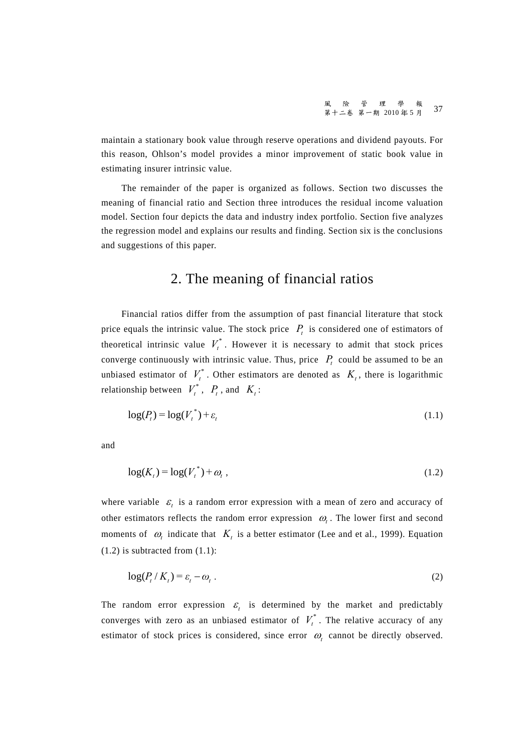maintain a stationary book value through reserve operations and dividend payouts. For this reason, Ohlson's model provides a minor improvement of static book value in estimating insurer intrinsic value.

The remainder of the paper is organized as follows. Section two discusses the meaning of financial ratio and Section three introduces the residual income valuation model. Section four depicts the data and industry index portfolio. Section five analyzes the regression model and explains our results and finding. Section six is the conclusions and suggestions of this paper.

### 2. The meaning of financial ratios

Financial ratios differ from the assumption of past financial literature that stock price equals the intrinsic value. The stock price  $P<sub>t</sub>$  is considered one of estimators of theoretical intrinsic value  $V_t^*$ . However it is necessary to admit that stock prices converge continuously with intrinsic value. Thus, price  $P_t$  could be assumed to be an unbiased estimator of  $V_t^*$ . Other estimators are denoted as  $K_t$ , there is logarithmic relationship between  $V_t^*$ ,  $P_t$ , and  $K_t$ :

$$
\log(P_t) = \log(V_t^*) + \varepsilon_t \tag{1.1}
$$

and

$$
\log(K_t) = \log(V_t^*) + \omega_t \tag{1.2}
$$

where variable  $\varepsilon_t$  is a random error expression with a mean of zero and accuracy of other estimators reflects the random error expression  $\omega$ . The lower first and second moments of  $\omega_t$  indicate that  $K_t$  is a better estimator (Lee and et al., 1999). Equation  $(1.2)$  is subtracted from  $(1.1)$ :

$$
\log(P_t/K_t) = \varepsilon_t - \omega_t \tag{2}
$$

The random error expression  $\varepsilon$ , is determined by the market and predictably converges with zero as an unbiased estimator of  $V_t^*$ . The relative accuracy of any estimator of stock prices is considered, since error  $\omega$ , cannot be directly observed.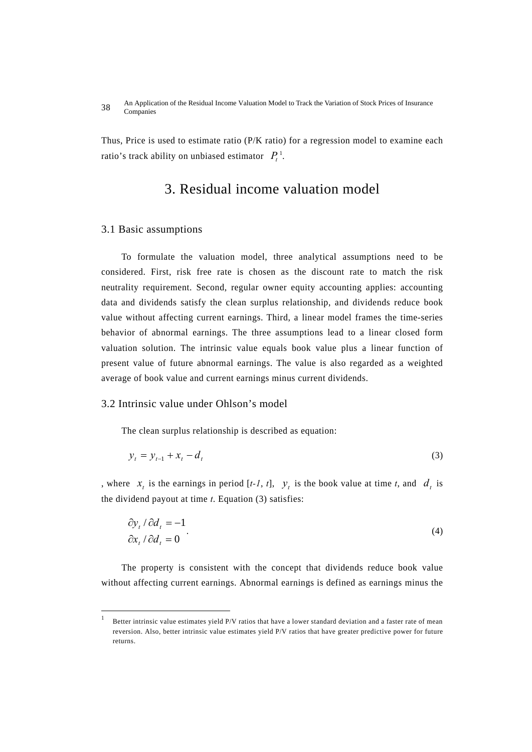Thus, Price is used to estimate ratio (P/K ratio) for a regression model to examine each ratio's track ability on unbiased estimator  $P_t^1$ .

### 3. Residual income valuation model

#### 3.1 Basic assumptions

 $\overline{a}$ 

To formulate the valuation model, three analytical assumptions need to be considered. First, risk free rate is chosen as the discount rate to match the risk neutrality requirement. Second, regular owner equity accounting applies: accounting data and dividends satisfy the clean surplus relationship, and dividends reduce book value without affecting current earnings. Third, a linear model frames the time-series behavior of abnormal earnings. The three assumptions lead to a linear closed form valuation solution. The intrinsic value equals book value plus a linear function of present value of future abnormal earnings. The value is also regarded as a weighted average of book value and current earnings minus current dividends.

#### 3.2 Intrinsic value under Ohlson's model

The clean surplus relationship is described as equation:

$$
y_t = y_{t-1} + x_t - d_t \tag{3}
$$

, where  $x_t$  is the earnings in period  $[t-1, t]$ ,  $y_t$  is the book value at time *t*, and  $d_t$  is the dividend payout at time *t*. Equation (3) satisfies:

$$
\frac{\partial y_t}{\partial d_t} = -1
$$
  

$$
\frac{\partial x_t}{\partial d_t} = 0
$$
 (4)

The property is consistent with the concept that dividends reduce book value without affecting current earnings. Abnormal earnings is defined as earnings minus the

Better intrinsic value estimates yield P/V ratios that have a lower standard deviation and a faster rate of mean reversion. Also, better intrinsic value estimates yield P/V ratios that have greater predictive power for future returns.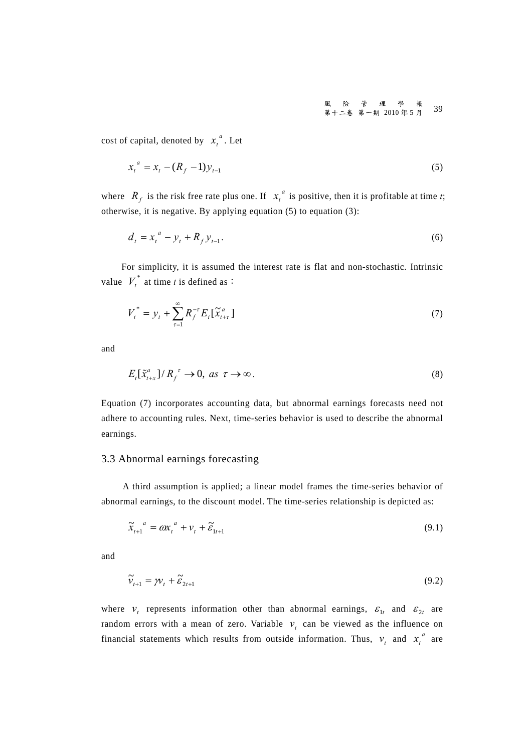cost of capital, denoted by  $x_t^a$ . Let

$$
x_t^a = x_t - (R_f - 1)y_{t-1}
$$
\n(5)

where  $R_f$  is the risk free rate plus one. If  $x_t^a$  is positive, then it is profitable at time *t*; otherwise, it is negative. By applying equation (5) to equation (3):

$$
d_t = x_t^a - y_t + R_f y_{t-1}.
$$
\n(6)

For simplicity, it is assumed the interest rate is flat and non-stochastic. Intrinsic value  $V_t^*$  at time *t* is defined as:

$$
V_t^* = y_t + \sum_{\tau=1}^{\infty} R_f^{-\tau} E_t[\tilde{x}_{t+\tau}^a]
$$
 (7)

and

$$
E_t[\tilde{x}_{t+x}^a]/R_f^{\ \tau} \to 0, \text{ as } \tau \to \infty. \tag{8}
$$

Equation (7) incorporates accounting data, but abnormal earnings forecasts need not adhere to accounting rules. Next, time-series behavior is used to describe the abnormal earnings.

#### 3.3 Abnormal earnings forecasting

A third assumption is applied; a linear model frames the time-series behavior of abnormal earnings, to the discount model. The time-series relationship is depicted as:

$$
\widetilde{\mathbf{x}}_{t+1}^{a} = a \mathbf{x}_{t}^{a} + \mathbf{v}_{t} + \widetilde{\mathbf{\varepsilon}}_{1t+1} \tag{9.1}
$$

and

$$
\widetilde{v}_{t+1} = \mathcal{W}_t + \widetilde{\mathcal{E}}_{2t+1} \tag{9.2}
$$

where  $v_t$  represents information other than abnormal earnings,  $\varepsilon_{1t}$  and  $\varepsilon_{2t}$  are random errors with a mean of zero. Variable  $v_t$  can be viewed as the influence on financial statements which results from outside information. Thus,  $v_t$  and  $x_t^a$  are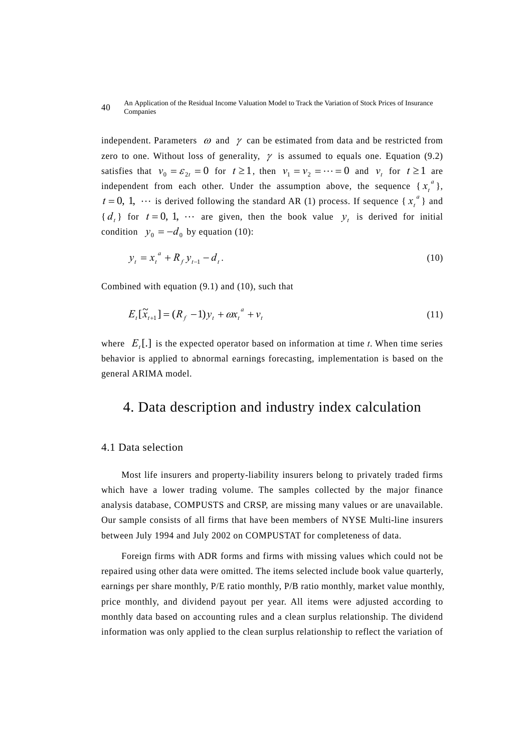#### An Application of the Residual Income Valuation Model to Track the Variation of Stock Prices of Insurance 40 An Applica

independent. Parameters  $\omega$  and  $\gamma$  can be estimated from data and be restricted from zero to one. Without loss of generality,  $\gamma$  is assumed to equals one. Equation (9.2) satisfies that  $v_0 = \varepsilon_{2t} = 0$  for  $t \ge 1$ , then  $v_1 = v_2 = \cdots = 0$  and  $v_t$  for  $t \ge 1$  are independent from each other. Under the assumption above, the sequence  $\{x_t^a\}$ ,  $t = 0, 1, \cdots$  is derived following the standard AR (1) process. If sequence { $x_t^a$ } and  ${ d<sub>t</sub> }$  for  $t = 0, 1, \cdots$  are given, then the book value  $y<sub>t</sub>$  is derived for initial condition  $y_0 = -d_0$  by equation (10):

$$
y_t = x_t^a + R_f y_{t-1} - d_t.
$$
 (10)

Combined with equation (9.1) and (10), such that

$$
E_t[\tilde{x}_{t+1}] = (R_f - 1)y_t + \omega x_t^a + v_t
$$
\n(11)

where  $E_t$ . is the expected operator based on information at time *t*. When time series behavior is applied to abnormal earnings forecasting, implementation is based on the general ARIMA model.

### 4. Data description and industry index calculation

#### 4.1 Data selection

Most life insurers and property-liability insurers belong to privately traded firms which have a lower trading volume. The samples collected by the major finance analysis database, COMPUSTS and CRSP, are missing many values or are unavailable. Our sample consists of all firms that have been members of NYSE Multi-line insurers between July 1994 and July 2002 on COMPUSTAT for completeness of data.

Foreign firms with ADR forms and firms with missing values which could not be repaired using other data were omitted. The items selected include book value quarterly, earnings per share monthly, P/E ratio monthly, P/B ratio monthly, market value monthly, price monthly, and dividend payout per year. All items were adjusted according to monthly data based on accounting rules and a clean surplus relationship. The dividend information was only applied to the clean surplus relationship to reflect the variation of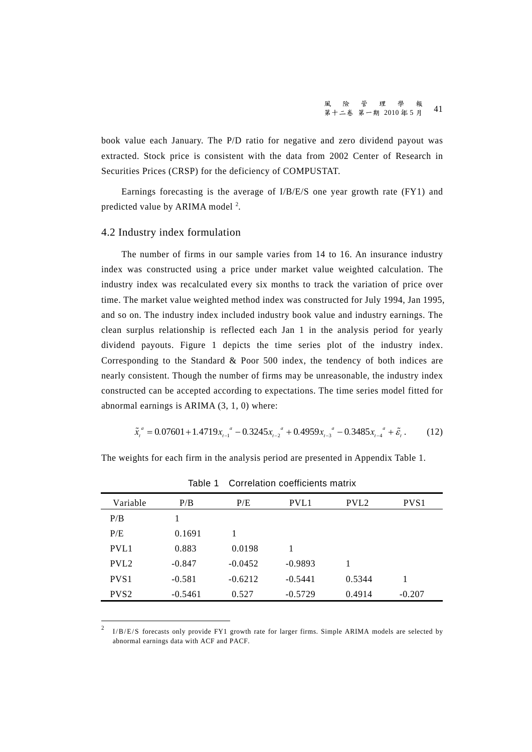風險管理學報 第十二卷 第一期 2010年5月 41

book value each January. The P/D ratio for negative and zero dividend payout was extracted. Stock price is consistent with the data from 2002 Center of Research in Securities Prices (CRSP) for the deficiency of COMPUSTAT.

Earnings forecasting is the average of I/B/E/S one year growth rate (FY1) and predicted value by ARIMA model  $^2$ .

#### 4.2 Industry index formulation

 $\overline{a}$ 

The number of firms in our sample varies from 14 to 16. An insurance industry index was constructed using a price under market value weighted calculation. The industry index was recalculated every six months to track the variation of price over time. The market value weighted method index was constructed for July 1994, Jan 1995, and so on. The industry index included industry book value and industry earnings. The clean surplus relationship is reflected each Jan 1 in the analysis period for yearly dividend payouts. Figure 1 depicts the time series plot of the industry index. Corresponding to the Standard & Poor 500 index, the tendency of both indices are nearly consistent. Though the number of firms may be unreasonable, the industry index constructed can be accepted according to expectations. The time series model fitted for abnormal earnings is ARIMA (3, 1, 0) where:

$$
\tilde{x}_{t}^{a} = 0.07601 + 1.4719x_{t-1}^{a} - 0.3245x_{t-2}^{a} + 0.4959x_{t-3}^{a} - 0.3485x_{t-4}^{a} + \tilde{\varepsilon}_{t}.
$$
 (12)

The weights for each firm in the analysis period are presented in Appendix Table 1.

| Variable         | P/B       | P/E       | PVL1      | PVL <sub>2</sub> | PVS <sub>1</sub> |  |
|------------------|-----------|-----------|-----------|------------------|------------------|--|
| P/B              |           |           |           |                  |                  |  |
| P/E              | 0.1691    | 1         |           |                  |                  |  |
| PVL1             | 0.883     | 0.0198    |           |                  |                  |  |
| PVL <sub>2</sub> | $-0.847$  | $-0.0452$ | $-0.9893$ | 1                |                  |  |
| PVS <sub>1</sub> | $-0.581$  | $-0.6212$ | $-0.5441$ | 0.5344           |                  |  |
| PVS <sub>2</sub> | $-0.5461$ | 0.527     | $-0.5729$ | 0.4914           | $-0.207$         |  |

Table 1 Correlation coefficients matrix

<sup>&</sup>lt;sup>2</sup> I/B/E/S forecasts only provide FY1 growth rate for larger firms. Simple ARIMA models are selected by abnormal earnings data with ACF and PACF.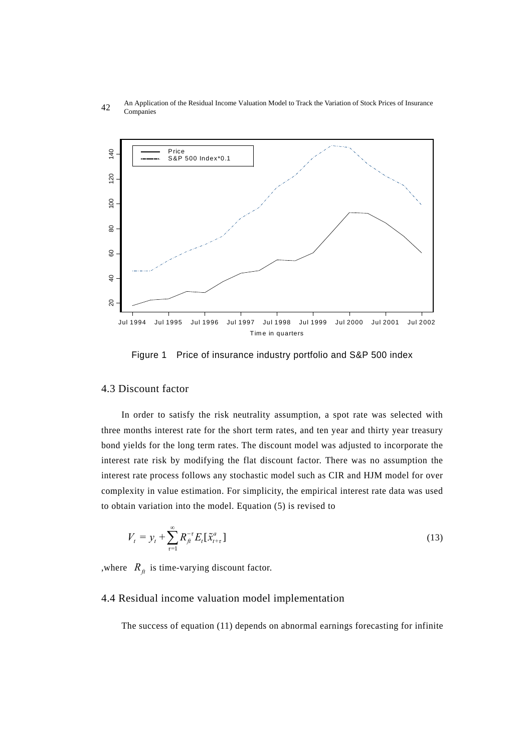



Figure 1 Price of insurance industry portfolio and S&P 500 index

#### 4.3 Discount factor

In order to satisfy the risk neutrality assumption, a spot rate was selected with three months interest rate for the short term rates, and ten year and thirty year treasury bond yields for the long term rates. The discount model was adjusted to incorporate the interest rate risk by modifying the flat discount factor. There was no assumption the interest rate process follows any stochastic model such as CIR and HJM model for over complexity in value estimation. For simplicity, the empirical interest rate data was used to obtain variation into the model. Equation (5) is revised to

$$
V_{t} = y_{t} + \sum_{\tau=1}^{\infty} R_{ft}^{-\tau} E_{t} [\tilde{x}_{t+\tau}^{a}]
$$
\n(13)

, where  $R_f$  is time-varying discount factor.

#### 4.4 Residual income valuation model implementation

The success of equation (11) depends on abnormal earnings forecasting for infinite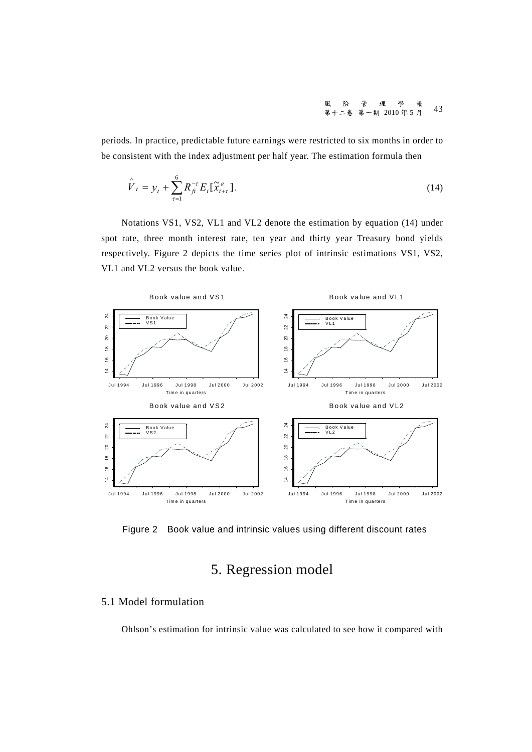風險管理學報 第十二卷 第一期<sup>2010</sup> <sup>年</sup> <sup>5</sup> <sup>月</sup> 43

periods. In practice, predictable future earnings were restricted to six months in order to be consistent with the index adjustment per half year. The estimation formula then

$$
\hat{V}_t = y_t + \sum_{\tau=1}^6 R_{ft}^{-\tau} E_t[\tilde{x}_{t+\tau}^a].
$$
\n(14)

Notations VS1, VS2, VL1 and VL2 denote the estimation by equation (14) under spot rate, three month interest rate, ten year and thirty year Treasury bond yields respectively. Figure 2 depicts the time series plot of intrinsic estimations VS1, VS2, VL1 and VL2 versus the book value.



Figure 2 Book value and intrinsic values using different discount rates

## 5. Regression model

#### 5.1 Model formulation

Ohlson's estimation for intrinsic value was calculated to see how it compared with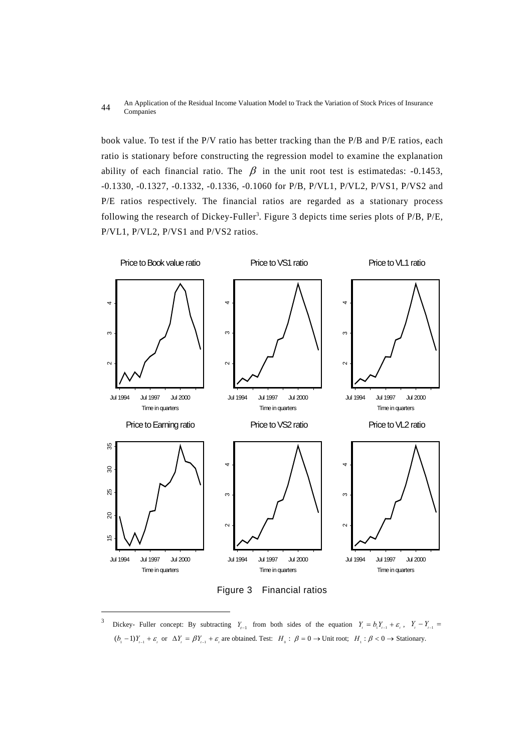#### An Application of the Residual Income Valuation Model to Track the Variation of Stock Prices of Insurance 44 Companies

book value. To test if the P/V ratio has better tracking than the P/B and P/E ratios, each ratio is stationary before constructing the regression model to examine the explanation ability of each financial ratio. The  $\beta$  in the unit root test is estimatedas: -0.1453, -0.1330, -0.1327, -0.1332, -0.1336, -0.1060 for P/B, P/VL1, P/VL2, P/VS1, P/VS2 and P/E ratios respectively. The financial ratios are regarded as a stationary process following the research of Dickey-Fuller<sup>3</sup>. Figure 3 depicts time series plots of P/B, P/E, P/VL1, P/VL2, P/VS1 and P/VS2 ratios.

![](_page_11_Figure_2.jpeg)

Figure 3 Financial ratios

 $\overline{a}$ 

<sup>3</sup> Dickey- Fuller concept: By subtracting  $Y_{t-1}$  from both sides of the equation  $Y_{t} = b_1 Y_{t-1} + \varepsilon_t$ ,  $Y_t - Y_{t-1} =$  $(b_1 - 1)Y_{i-1} + \varepsilon_i$  or  $\Delta Y_i = \beta Y_{i-1} + \varepsilon_i$  are obtained. Test:  $H_0 : \beta = 0 \rightarrow$  Unit root;  $H_1 : \beta < 0 \rightarrow$  Stationary.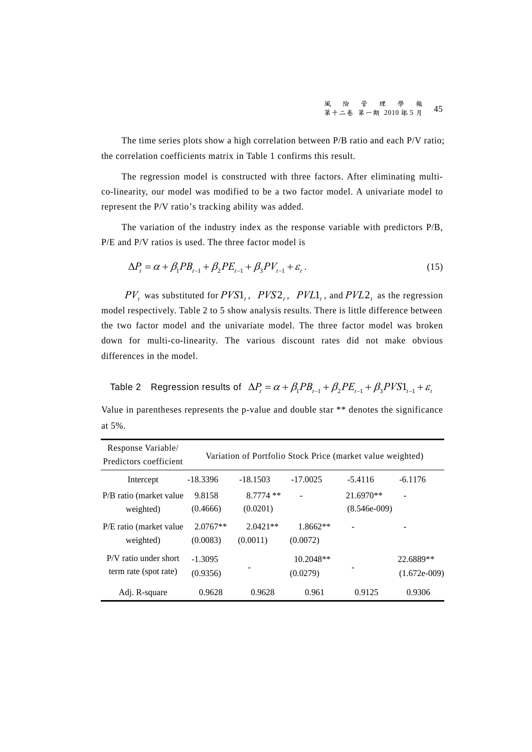The time series plots show a high correlation between P/B ratio and each P/V ratio; the correlation coefficients matrix in Table 1 confirms this result.

The regression model is constructed with three factors. After eliminating multico-linearity, our model was modified to be a two factor model. A univariate model to represent the P/V ratio's tracking ability was added.

The variation of the industry index as the response variable with predictors P/B, P/E and P/V ratios is used. The three factor model is

$$
\Delta P_t = \alpha + \beta_1 P B_{t-1} + \beta_2 P E_{t-1} + \beta_3 P V_{t-1} + \varepsilon_t.
$$
\n(15)

 $PV_t$  was substituted for  $PVS1_t$ ,  $PVS2_t$ ,  $PVL1_t$ , and  $PVL2_t$  as the regression model respectively. Table 2 to 5 show analysis results. There is little difference between the two factor model and the univariate model. The three factor model was broken down for multi-co-linearity. The various discount rates did not make obvious differences in the model.

Table 2 Regression results of  $\Delta P_t = \alpha + \beta_1 PB_{t-1} + \beta_2 PE_{t-1} + \beta_3 PVS1_{t-1} + \varepsilon_t$ 

Value in parentheses represents the p-value and double star \*\* denotes the significance at 5%.

| Response Variable/<br>Predictors coefficient   |                        |                         |                         | Variation of Portfolio Stock Price (market value weighted) |                             |
|------------------------------------------------|------------------------|-------------------------|-------------------------|------------------------------------------------------------|-----------------------------|
| Intercept                                      | $-18.3396$             | $-18.1503$              | $-17.0025$              | $-5.4116$                                                  | $-6.1176$                   |
| P/B ratio (market value)<br>weighted)          | 9.8158<br>(0.4666)     | $8.7774$ **<br>(0.0201) |                         | $21.6970**$<br>$(8.546e-009)$                              |                             |
| P/E ratio (market value<br>weighted)           | $2.0767**$<br>(0.0083) | $2.0421**$<br>(0.0011)  | $1.8662**$<br>(0.0072)  |                                                            |                             |
| P/V ratio under short<br>term rate (spot rate) | $-1.3095$<br>(0.9356)  |                         | $10.2048**$<br>(0.0279) |                                                            | 22.6889**<br>$(1.672e-009)$ |
| Adj. R-square                                  | 0.9628                 | 0.9628                  | 0.961                   | 0.9125                                                     | 0.9306                      |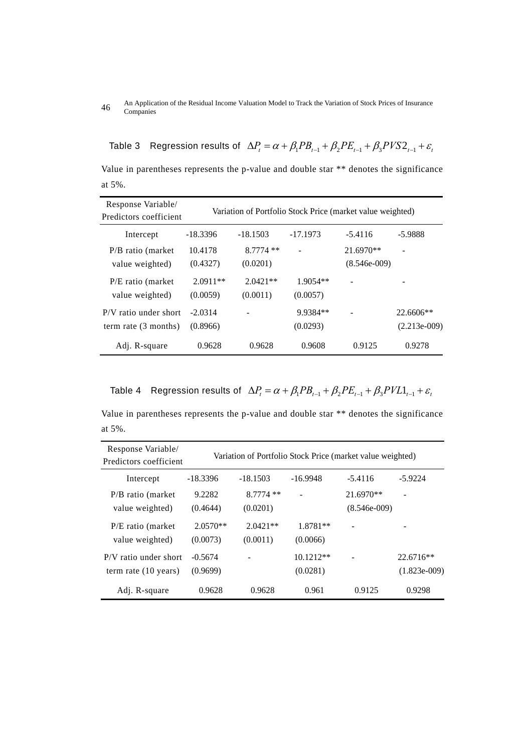#### An Application of the Residual Income Valuation Model to Track the Variation of Stock Prices of Insurance 46 An Applica

Table 3 Regression results of  $\Delta P_t = \alpha + \beta_1 P B_{t-1} + \beta_2 P E_{t-1} + \beta_3 P V S 2_{t-1} + \varepsilon_t$ 

Value in parentheses represents the p-value and double star \*\* denotes the significance at 5%.

| Response Variable/<br>Predictors coefficient      |                        | Variation of Portfolio Stock Price (market value weighted) |                        |                             |                               |
|---------------------------------------------------|------------------------|------------------------------------------------------------|------------------------|-----------------------------|-------------------------------|
| Intercept                                         | $-18.3396$             | $-18.1503$                                                 | $-17.1973$             | $-5.4116$                   | $-5.9888$                     |
| $P/B$ ratio (market<br>value weighted)            | 10.4178<br>(0.4327)    | $8.7774**$<br>(0.0201)                                     |                        | 21.6970**<br>$(8.546e-009)$ |                               |
| P/E ratio (market)<br>value weighted)             | $2.0911**$<br>(0.0059) | $2.0421**$<br>(0.0011)                                     | $1.9054**$<br>(0.0057) |                             |                               |
| $P/V$ ratio under short<br>term rate $(3$ months) | $-2.0314$<br>(0.8966)  |                                                            | 9.9384**<br>(0.0293)   |                             | $22.6606**$<br>$(2.213e-009)$ |
| Adj. R-square                                     | 0.9628                 | 0.9628                                                     | 0.9608                 | 0.9125                      | 0.9278                        |

Table 4 Regression results of  $\Delta P_t = \alpha + \beta_1 PB_{t-1} + \beta_2 PE_{t-1} + \beta_3 PVL1_{t-1} + \varepsilon_t$ 

Value in parentheses represents the p-value and double star \*\* denotes the significance at 5%.

| Response Variable/<br>Predictors coefficient              |                        |                         |                         | Variation of Portfolio Stock Price (market value weighted) |                               |
|-----------------------------------------------------------|------------------------|-------------------------|-------------------------|------------------------------------------------------------|-------------------------------|
| Intercept                                                 | $-18.3396$             | $-18.1503$              | $-16.9948$              | $-5.4116$                                                  | $-5.9224$                     |
| $P/B$ ratio (market<br>value weighted)                    | 9.2282<br>(0.4644)     | $8.7774$ **<br>(0.0201) |                         | $21.6970**$<br>$(8.546e-009)$                              |                               |
| $P/E$ ratio (market<br>value weighted)                    | $2.0570**$<br>(0.0073) | $2.0421**$<br>(0.0011)  | 1.8781**<br>(0.0066)    |                                                            |                               |
| $P/V$ ratio under short<br>term rate $(10 \text{ years})$ | $-0.5674$<br>(0.9699)  |                         | $10.1212**$<br>(0.0281) |                                                            | $22.6716**$<br>$(1.823e-009)$ |
| Adj. R-square                                             | 0.9628                 | 0.9628                  | 0.961                   | 0.9125                                                     | 0.9298                        |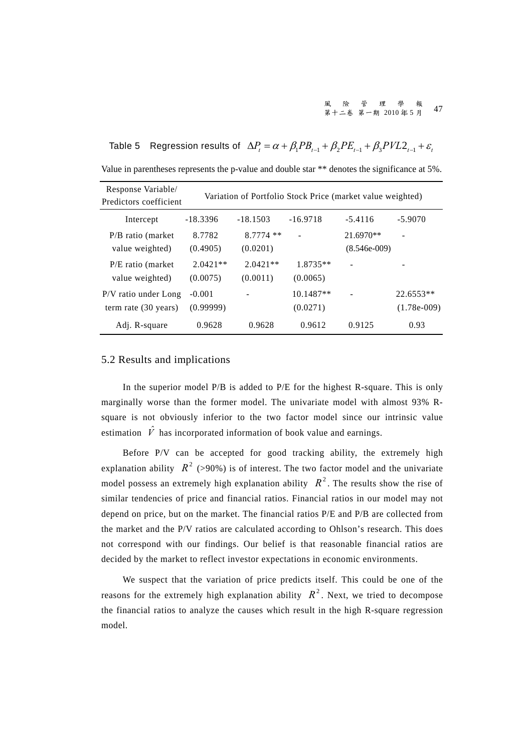Table 5 Regression results of  $\Delta P_t = \alpha + \beta_1 PB_{t-1} + \beta_2 PE_{t-1} + \beta_3 PVL2_{t-1} + \varepsilon_t$ Value in parentheses represents the p-value and double star \*\* denotes the significance at 5%.

| Response Variable/<br>Predictors coefficient           |                        | Variation of Portfolio Stock Price (market value weighted) |                         |                             |                              |
|--------------------------------------------------------|------------------------|------------------------------------------------------------|-------------------------|-----------------------------|------------------------------|
| Intercept                                              | $-18.3396$             | $-18.1503$                                                 | $-16.9718$              | $-5.4116$                   | $-5.9070$                    |
| $P/B$ ratio (market<br>value weighted)                 | 8.7782<br>(0.4905)     | $8.7774$ **<br>(0.0201)                                    |                         | 21.6970**<br>$(8.546e-009)$ | ۰                            |
| P/E ratio (market)<br>value weighted)                  | $2.0421**$<br>(0.0075) | $2.0421**$<br>(0.0011)                                     | 1.8735**<br>(0.0065)    | ۰                           |                              |
| P/V ratio under Long<br>term rate $(30 \text{ years})$ | $-0.001$<br>(0.99999)  | $\qquad \qquad \blacksquare$                               | $10.1487**$<br>(0.0271) |                             | $22.6553**$<br>$(1.78e-009)$ |
| Adj. R-square                                          | 0.9628                 | 0.9628                                                     | 0.9612                  | 0.9125                      | 0.93                         |

#### 5.2 Results and implications

In the superior model P/B is added to P/E for the highest R-square. This is only marginally worse than the former model. The univariate model with almost 93% Rsquare is not obviously inferior to the two factor model since our intrinsic value estimation  $\hat{V}$  has incorporated information of book value and earnings.

Before P/V can be accepted for good tracking ability, the extremely high explanation ability  $R^2$  (>90%) is of interest. The two factor model and the univariate model possess an extremely high explanation ability  $R^2$ . The results show the rise of similar tendencies of price and financial ratios. Financial ratios in our model may not depend on price, but on the market. The financial ratios P/E and P/B are collected from the market and the P/V ratios are calculated according to Ohlson's research. This does not correspond with our findings. Our belief is that reasonable financial ratios are decided by the market to reflect investor expectations in economic environments.

We suspect that the variation of price predicts itself. This could be one of the reasons for the extremely high explanation ability  $R^2$ . Next, we tried to decompose the financial ratios to analyze the causes which result in the high R-square regression model.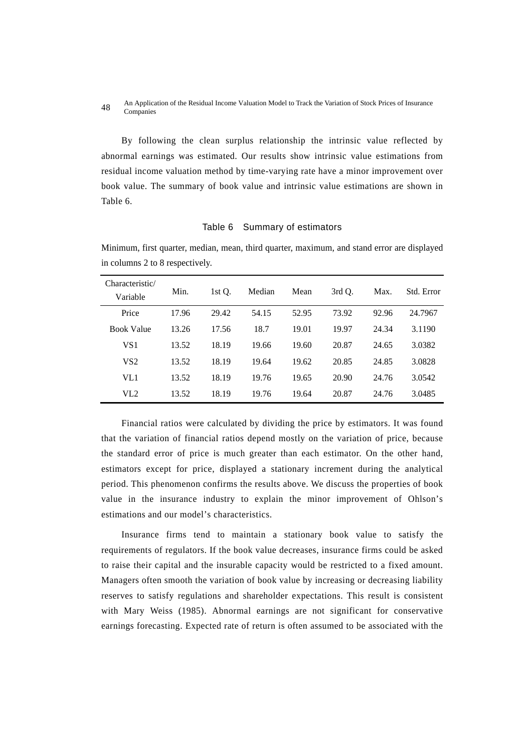#### An Application of the Residual Income Valuation Model to Track the Variation of Stock Prices of Insurance 48 All Applica

By following the clean surplus relationship the intrinsic value reflected by abnormal earnings was estimated. Our results show intrinsic value estimations from residual income valuation method by time-varying rate have a minor improvement over book value. The summary of book value and intrinsic value estimations are shown in Table 6.

#### Table 6 Summary of estimators

Minimum, first quarter, median, mean, third quarter, maximum, and stand error are displayed in columns 2 to 8 respectively.

| Characteristic/<br>Variable | Min.  | 1st Q. | Median | Mean  | 3rd O. | Max.  | Std. Error |
|-----------------------------|-------|--------|--------|-------|--------|-------|------------|
| Price                       | 17.96 | 29.42  | 54.15  | 52.95 | 73.92  | 92.96 | 24.7967    |
| <b>Book Value</b>           | 13.26 | 17.56  | 18.7   | 19.01 | 19.97  | 24.34 | 3.1190     |
| VS1                         | 13.52 | 18.19  | 19.66  | 19.60 | 20.87  | 24.65 | 3.0382     |
| VS <sub>2</sub>             | 13.52 | 18.19  | 19.64  | 19.62 | 20.85  | 24.85 | 3.0828     |
| VL1                         | 13.52 | 18.19  | 19.76  | 19.65 | 20.90  | 24.76 | 3.0542     |
| VL2                         | 13.52 | 18.19  | 19.76  | 19.64 | 20.87  | 24.76 | 3.0485     |

Financial ratios were calculated by dividing the price by estimators. It was found that the variation of financial ratios depend mostly on the variation of price, because the standard error of price is much greater than each estimator. On the other hand, estimators except for price, displayed a stationary increment during the analytical period. This phenomenon confirms the results above. We discuss the properties of book value in the insurance industry to explain the minor improvement of Ohlson's estimations and our model's characteristics.

Insurance firms tend to maintain a stationary book value to satisfy the requirements of regulators. If the book value decreases, insurance firms could be asked to raise their capital and the insurable capacity would be restricted to a fixed amount. Managers often smooth the variation of book value by increasing or decreasing liability reserves to satisfy regulations and shareholder expectations. This result is consistent with Mary Weiss (1985). Abnormal earnings are not significant for conservative earnings forecasting. Expected rate of return is often assumed to be associated with the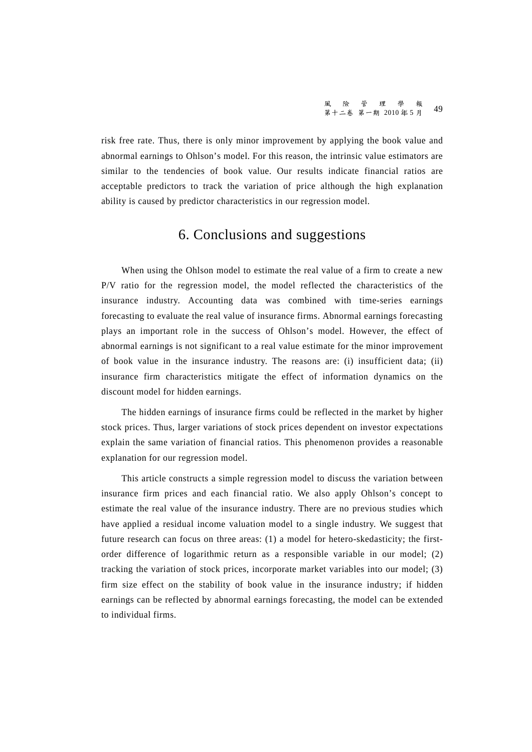risk free rate. Thus, there is only minor improvement by applying the book value and abnormal earnings to Ohlson's model. For this reason, the intrinsic value estimators are similar to the tendencies of book value. Our results indicate financial ratios are acceptable predictors to track the variation of price although the high explanation ability is caused by predictor characteristics in our regression model.

### 6. Conclusions and suggestions

When using the Ohlson model to estimate the real value of a firm to create a new P/V ratio for the regression model, the model reflected the characteristics of the insurance industry. Accounting data was combined with time-series earnings forecasting to evaluate the real value of insurance firms. Abnormal earnings forecasting plays an important role in the success of Ohlson's model. However, the effect of abnormal earnings is not significant to a real value estimate for the minor improvement of book value in the insurance industry. The reasons are: (i) insufficient data; (ii) insurance firm characteristics mitigate the effect of information dynamics on the discount model for hidden earnings.

The hidden earnings of insurance firms could be reflected in the market by higher stock prices. Thus, larger variations of stock prices dependent on investor expectations explain the same variation of financial ratios. This phenomenon provides a reasonable explanation for our regression model.

This article constructs a simple regression model to discuss the variation between insurance firm prices and each financial ratio. We also apply Ohlson's concept to estimate the real value of the insurance industry. There are no previous studies which have applied a residual income valuation model to a single industry. We suggest that future research can focus on three areas: (1) a model for hetero-skedasticity; the firstorder difference of logarithmic return as a responsible variable in our model; (2) tracking the variation of stock prices, incorporate market variables into our model; (3) firm size effect on the stability of book value in the insurance industry; if hidden earnings can be reflected by abnormal earnings forecasting, the model can be extended to individual firms.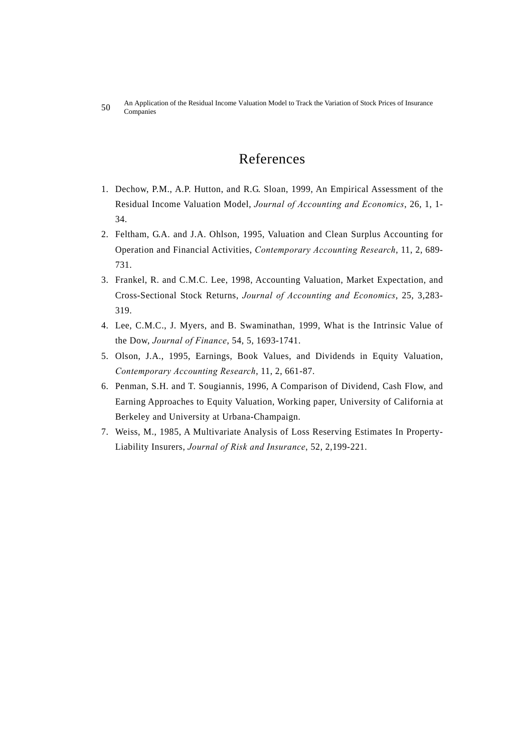An Application of the Residual Income Valuation Model to Track the Variation of Stock Prices of Insurance 50 An Applica

## References

- 1. Dechow, P.M., A.P. Hutton, and R.G. Sloan, 1999, An Empirical Assessment of the Residual Income Valuation Model, *Journal of Accounting and Economics*, 26, 1, 1- 34.
- 2. Feltham, G.A. and J.A. Ohlson, 1995, Valuation and Clean Surplus Accounting for Operation and Financial Activities, *Contemporary Accounting Research*, 11, 2, 689- 731.
- 3. Frankel, R. and C.M.C. Lee, 1998, Accounting Valuation, Market Expectation, and Cross-Sectional Stock Returns, *Journal of Accounting and Economics*, 25, 3,283- 319.
- 4. Lee, C.M.C., J. Myers, and B. Swaminathan, 1999, What is the Intrinsic Value of the Dow, *Journal of Finance*, 54, 5, 1693-1741.
- 5. Olson, J.A., 1995, Earnings, Book Values, and Dividends in Equity Valuation, *Contemporary Accounting Research*, 11, 2, 661-87.
- 6. Penman, S.H. and T. Sougiannis, 1996, A Comparison of Dividend, Cash Flow, and Earning Approaches to Equity Valuation, Working paper, University of California at Berkeley and University at Urbana-Champaign.
- 7. Weiss, M., 1985, A Multivariate Analysis of Loss Reserving Estimates In Property-Liability Insurers, *Journal of Risk and Insurance*, 52, 2,199-221.